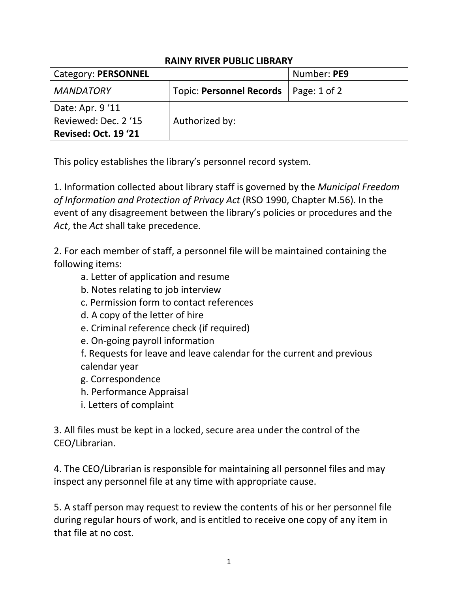| <b>RAINY RIVER PUBLIC LIBRARY</b> |                                 |                  |  |
|-----------------------------------|---------------------------------|------------------|--|
| Category: PERSONNEL               |                                 | Number: PE9      |  |
| <b>MANDATORY</b>                  | <b>Topic: Personnel Records</b> | Page: $1$ of $2$ |  |
| Date: Apr. 9'11                   |                                 |                  |  |
| Reviewed: Dec. 2 '15              | Authorized by:                  |                  |  |
| Revised: Oct. 19 '21              |                                 |                  |  |

This policy establishes the library's personnel record system.

1. Information collected about library staff is governed by the *Municipal Freedom of Information and Protection of Privacy Act* (RSO 1990, Chapter M.56). In the event of any disagreement between the library's policies or procedures and the *Act*, the *Act* shall take precedence.

2. For each member of staff, a personnel file will be maintained containing the following items:

- a. Letter of application and resume
- b. Notes relating to job interview
- c. Permission form to contact references
- d. A copy of the letter of hire
- e. Criminal reference check (if required)
- e. On-going payroll information

f. Requests for leave and leave calendar for the current and previous calendar year

- g. Correspondence
- h. Performance Appraisal
- i. Letters of complaint

3. All files must be kept in a locked, secure area under the control of the CEO/Librarian.

4. The CEO/Librarian is responsible for maintaining all personnel files and may inspect any personnel file at any time with appropriate cause.

5. A staff person may request to review the contents of his or her personnel file during regular hours of work, and is entitled to receive one copy of any item in that file at no cost.